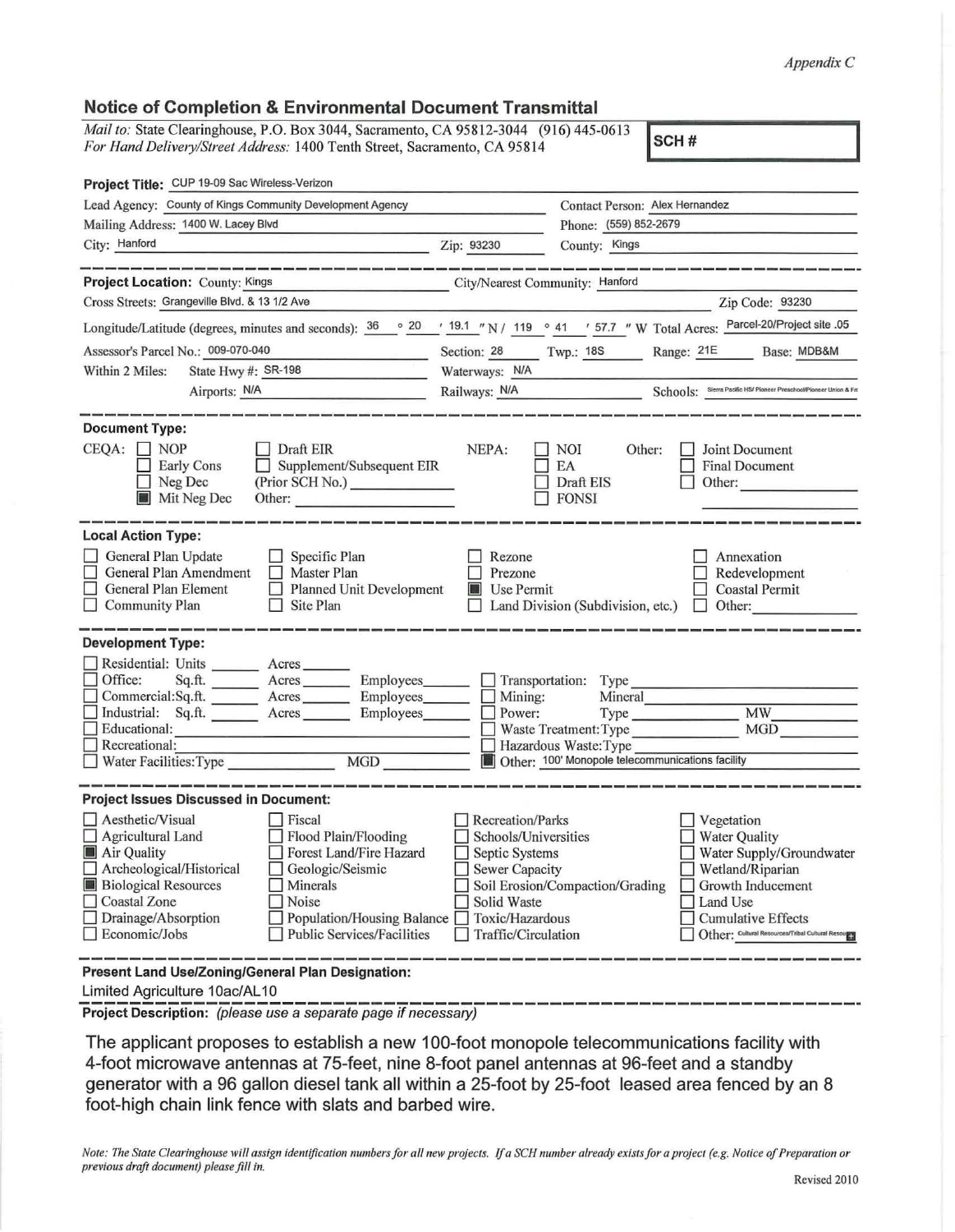*AppendixC* 

## Notice of Completion & Environmental Document Transmittal

*Mail to:* State Clearinghouse, P.O. Box 3044, Sacramento, CA 95812-3044 (916) 445-0613 *For Hand Delivery/Street Address:* 1400 Tenth Street, Sacramento, CA 95814 (910) 445-0013 SCH #

| Project Title: CUP 19-09 Sac Wireless-Verizon                                                                                                                                                                                                                                                                                                                                                                                               |                                                                                                                    |                                                                                      |                                                                                                                                                                                                               |
|---------------------------------------------------------------------------------------------------------------------------------------------------------------------------------------------------------------------------------------------------------------------------------------------------------------------------------------------------------------------------------------------------------------------------------------------|--------------------------------------------------------------------------------------------------------------------|--------------------------------------------------------------------------------------|---------------------------------------------------------------------------------------------------------------------------------------------------------------------------------------------------------------|
| Lead Agency: County of Kings Community Development Agency                                                                                                                                                                                                                                                                                                                                                                                   |                                                                                                                    | Contact Person: Alex Hernandez                                                       |                                                                                                                                                                                                               |
| Mailing Address: 1400 W. Lacey Blvd                                                                                                                                                                                                                                                                                                                                                                                                         |                                                                                                                    | Phone: (559) 852-2679                                                                |                                                                                                                                                                                                               |
| City: Hanford<br><b>Example 2.1 State 2.1 State 2.1 State 2.1 State 2.1 State 2.1 State 2.1 State 2.1 State 2.1 State 2.1 State 2.1 State 2.1 State 2.1 State 2.1 State 2.1 State 2.1 State 2.1 State 2.1 State 2.1 State 2.1 State 2.1 State 2.1</b>                                                                                                                                                                                       |                                                                                                                    | County: Kings                                                                        |                                                                                                                                                                                                               |
|                                                                                                                                                                                                                                                                                                                                                                                                                                             |                                                                                                                    |                                                                                      |                                                                                                                                                                                                               |
| Project Location: County: Kings                                                                                                                                                                                                                                                                                                                                                                                                             | City/Nearest Community: Hanford                                                                                    |                                                                                      |                                                                                                                                                                                                               |
| Cross Streets: Grangeville Blvd. & 13 1/2 Ave                                                                                                                                                                                                                                                                                                                                                                                               |                                                                                                                    |                                                                                      | Zip Code: 93230                                                                                                                                                                                               |
| Longitude/Latitude (degrees, minutes and seconds): $\frac{36}{100}$ $\circ$ $\frac{20}{100}$ $\cdot$ $\frac{19.1}{100}$ $\cdot$ N / 119 $\circ$ 41 $\cdot$ 57.7 "W Total Acres: Parcel-20/Project site .05                                                                                                                                                                                                                                  |                                                                                                                    |                                                                                      |                                                                                                                                                                                                               |
| Assessor's Parcel No.: 009-070-040<br>and the company of the company                                                                                                                                                                                                                                                                                                                                                                        | Section: 28 Twp.: 18S                                                                                              |                                                                                      | Range: 21E Base: MDB&M                                                                                                                                                                                        |
| State Hwy #: SR-198<br>Within 2 Miles:                                                                                                                                                                                                                                                                                                                                                                                                      | Waterways: N/A                                                                                                     |                                                                                      |                                                                                                                                                                                                               |
| Airports: N/A<br><u> 1989 - Jan Bartha, martin a</u>                                                                                                                                                                                                                                                                                                                                                                                        | Railways: N/A                                                                                                      |                                                                                      | Schools: Sierra Pacific HS/ Pioneer Preschool/Pioneer Union & Fro                                                                                                                                             |
| <b>Document Type:</b><br>$CEQA:$ NOP<br>Draft EIR<br><b>Early Cons</b><br>Supplement/Subsequent EIR<br>$\Box$ Neg Dec<br>(Prior SCH No.)<br>Mit Neg Dec<br>Other:                                                                                                                                                                                                                                                                           | NEPA:                                                                                                              | NOI<br>Other:<br>EA<br>Draft EIS<br>$\Box$ FONSI                                     | <b>Joint Document</b><br><b>Final Document</b><br>$\Box$ Other:                                                                                                                                               |
| <b>Local Action Type:</b><br>General Plan Update<br>$\Box$ Specific Plan<br>General Plan Amendment<br>$\Box$ Master Plan<br>General Plan Element<br>Planned Unit Development<br><b>Community Plan</b><br>$\Box$ Site Plan                                                                                                                                                                                                                   | Rezone<br>Prezone<br><b>Use Permit</b>                                                                             | Land Division (Subdivision, etc.)                                                    | Annexation<br>Redevelopment<br><b>Coastal Permit</b><br>$\Box$ Other:                                                                                                                                         |
| <b>Development Type:</b><br>Residential: Units ________ Acres_<br>Office:<br>Sq.ft. ________ Acres _________ Employees________ __ Transportation: Type<br>Commercial:Sq.ft. _______ Acres _______ Employees______<br>Industrial: Sq.ft. ______ Acres ______ Employees______<br>Educational:<br>$\Box$ Recreational:<br>MGD<br>$\Box$ Water Facilities: Type                                                                                 | $\Box$ Mining:<br>$\Box$ Power:                                                                                    | Mineral<br>Hazardous Waste: Type<br>Other: 100' Monopole telecommunications facility | Type MW<br>Waste Treatment: Type MGD                                                                                                                                                                          |
| <b>Project Issues Discussed in Document:</b>                                                                                                                                                                                                                                                                                                                                                                                                |                                                                                                                    |                                                                                      |                                                                                                                                                                                                               |
| Aesthetic/Visual<br>$ $ Fiscal<br>Agricultural Land<br>Flood Plain/Flooding<br>Forest Land/Fire Hazard<br>Air Quality<br>$\Box$ Archeological/Historical<br>Geologic/Seismic<br><b>Biological Resources</b><br>$\Box$ Minerals<br>Coastal Zone<br>Noise<br>$\Box$ Drainage/Absorption<br>□ Population/Housing Balance □ Toxic/Hazardous<br>Economic/Jobs<br>Public Services/Facilities<br>Present Land Use/Zoning/General Plan Designation: | Recreation/Parks<br>Schools/Universities<br>Septic Systems<br>Sewer Capacity<br>Solid Waste<br>Traffic/Circulation | Soil Erosion/Compaction/Grading                                                      | $\Box$ Vegetation<br>Water Quality<br>Water Supply/Groundwater<br>$\Box$ Wetland/Riparian<br>$\Box$ Growth Inducement<br>Land Use<br>Cumulative Effects<br>Other: Cultural Resources/Tribal Cultural Resource |
|                                                                                                                                                                                                                                                                                                                                                                                                                                             |                                                                                                                    |                                                                                      |                                                                                                                                                                                                               |

Limited Agriculture 10ac/AL 10

**Project Description:** (please use a separate page if necessary)

The applicant proposes to establish a new 100-foot monopole telecommunications facility with 4-foot microwave antennas at 75-feet, nine 8-foot panel antennas at 96-feet and a standby generator with a 96 gallon diesel tank all within a 25-foot by 25-foot leased area fenced by an 8 foot-high chain link fence with slats and barbed wire.

*Note: The State Clearinghouse will assign identification numbers for all new projects. If a SCH number already exists for a project (e.g. Notice of Preparation or previous draft document) please fill in.*